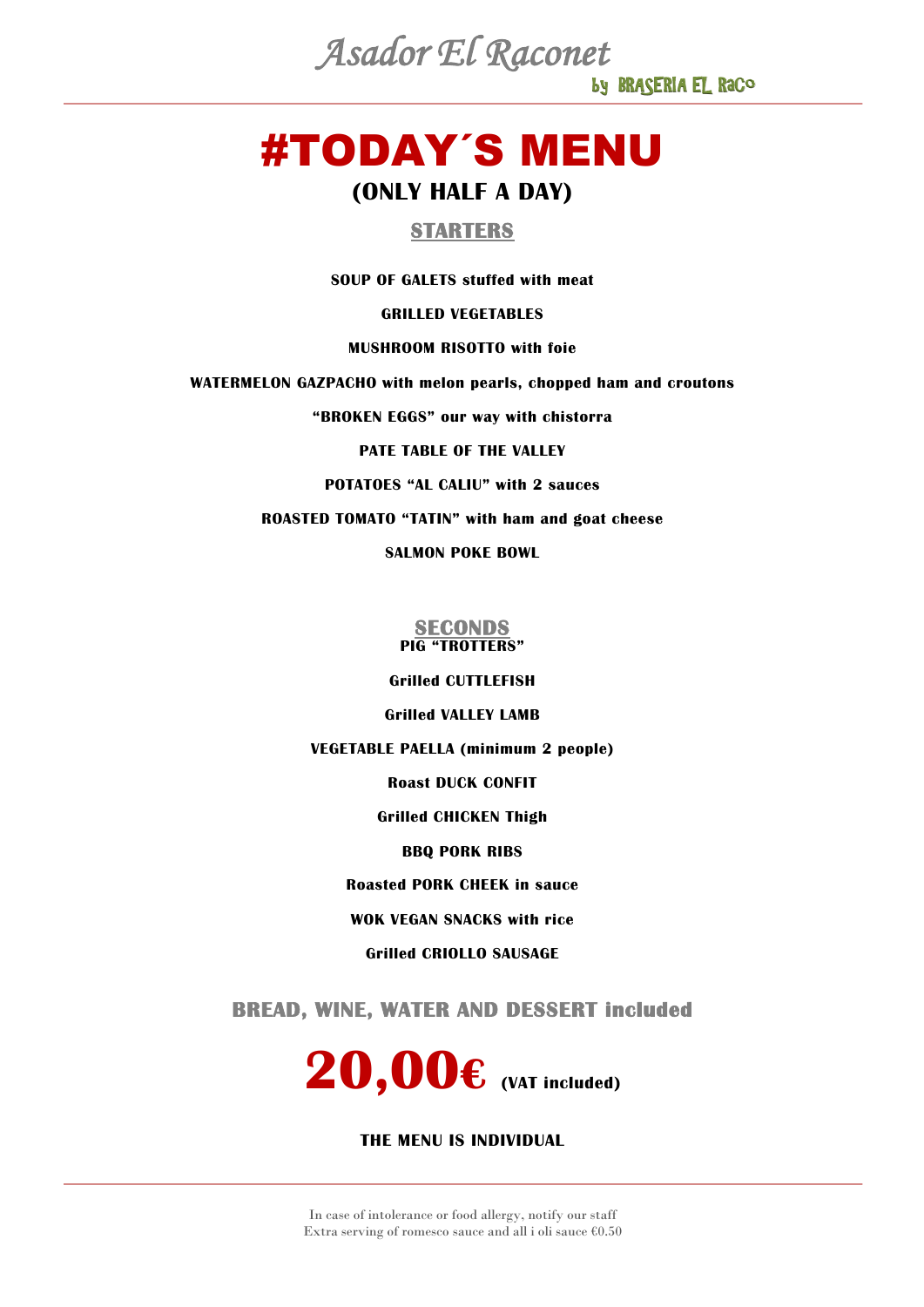by BRASERIA EL RaCo *Asador El Raconet*

# #TODAY´S MENU **(ONLY HALF A DAY)**

### **STARTERS**

**SOUP OF GALETS stuffed with meat**

**GRILLED VEGETABLES**

#### **MUSHROOM RISOTTO with foie**

**WATERMELON GAZPACHO with melon pearls, chopped ham and croutons**

**"BROKEN EGGS" our way with chistorra**

#### **PATE TABLE OF THE VALLEY**

**POTATOES "AL CALIU" with 2 sauces**

**ROASTED TOMATO "TATIN" with ham and goat cheese**

**SALMON POKE BOWL**

## **SECONDS PIG "TROTTERS"**

**Grilled CUTTLEFISH**

**Grilled VALLEY LAMB**

**VEGETABLE PAELLA (minimum 2 people)**

**Roast DUCK CONFIT**

**Grilled CHICKEN Thigh**

**BBQ PORK RIBS**

**Roasted PORK CHEEK in sauce**

**WOK VEGAN SNACKS with rice**

**Grilled CRIOLLO SAUSAGE**

**BREAD, WINE, WATER AND DESSERT included** 

**20,00€ (VAT included)**

#### **THE MENU IS INDIVIDUAL**

In case of intolerance or food allergy, notify our staff Extra serving of romesco sauce and all i oli sauce  $60.50$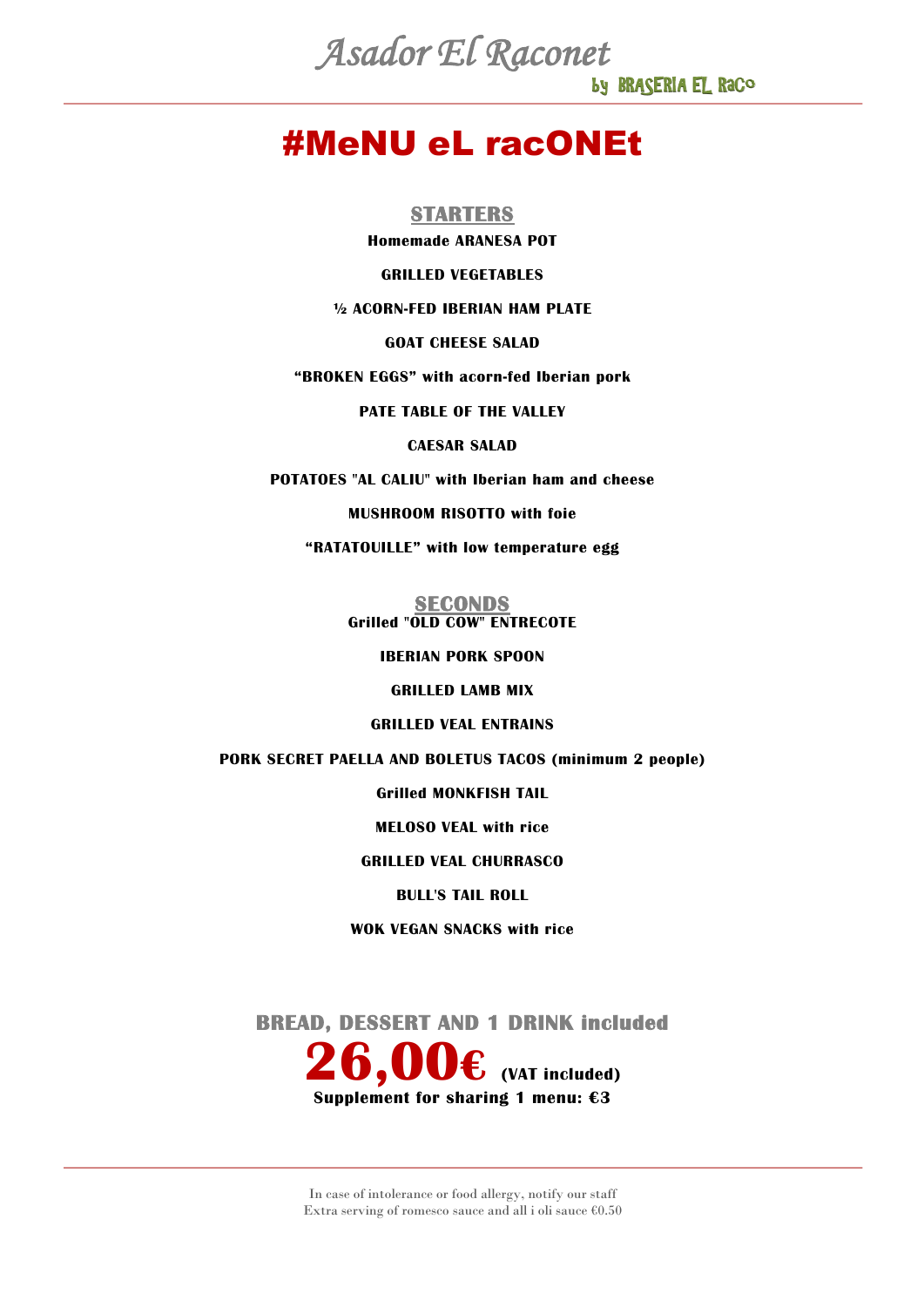by BRASERIA EL RaCo *Asador El Raconet*

### #MeNU eL racONEt

**STARTERS**

**Homemade ARANESA POT**

**GRILLED VEGETABLES**

**½ ACORN-FED IBERIAN HAM PLATE**

**GOAT CHEESE SALAD**

**"BROKEN EGGS" with acorn-fed Iberian pork**

**PATE TABLE OF THE VALLEY**

**CAESAR SALAD**

**POTATOES "AL CALIU" with Iberian ham and cheese**

**MUSHROOM RISOTTO with foie**

**"RATATOUILLE" with low temperature egg**

**SECONDS Grilled "OLD COW" ENTRECOTE**

#### **IBERIAN PORK SPOON**

**GRILLED LAMB MIX**

**GRILLED VEAL ENTRAINS**

**PORK SECRET PAELLA AND BOLETUS TACOS (minimum 2 people)**

**Grilled MONKFISH TAIL**

**MELOSO VEAL with rice**

**GRILLED VEAL CHURRASCO**

**BULL'S TAIL ROLL**

**WOK VEGAN SNACKS with rice**

**BREAD, DESSERT AND 1 DRINK included** 

**26,00€ (VAT included) Supplement for sharing 1 menu: €3**

In case of intolerance or food allergy, notify our staff Extra serving of romesco sauce and all i oli sauce €0.50